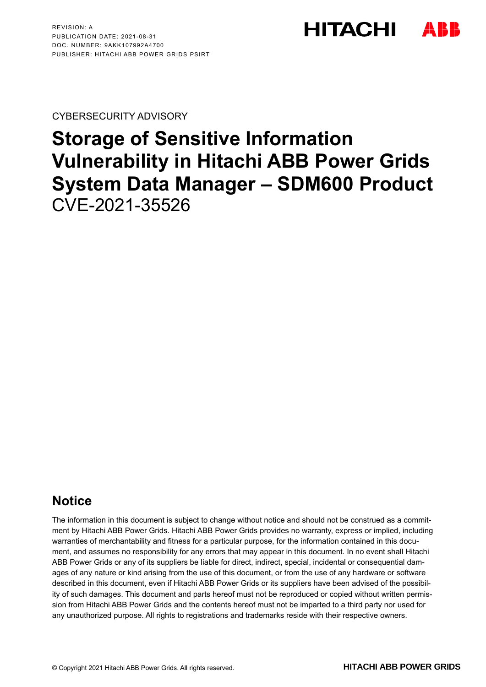**HITACHI** 

CYBERSECURITY ADVISORY

# **Storage of Sensitive Information Vulnerability in Hitachi ABB Power Grids System Data Manager – SDM600 Product** CVE-2021-35526

# **Notice**

The information in this document is subject to change without notice and should not be construed as a commitment by Hitachi ABB Power Grids. Hitachi ABB Power Grids provides no warranty, express or implied, including warranties of merchantability and fitness for a particular purpose, for the information contained in this document, and assumes no responsibility for any errors that may appear in this document. In no event shall Hitachi ABB Power Grids or any of its suppliers be liable for direct, indirect, special, incidental or consequential damages of any nature or kind arising from the use of this document, or from the use of any hardware or software described in this document, even if Hitachi ABB Power Grids or its suppliers have been advised of the possibility of such damages. This document and parts hereof must not be reproduced or copied without written permission from Hitachi ABB Power Grids and the contents hereof must not be imparted to a third party nor used for any unauthorized purpose. All rights to registrations and trademarks reside with their respective owners.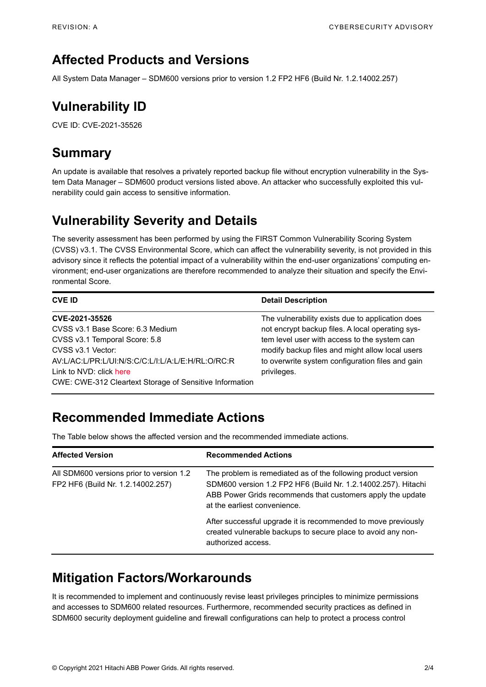### **Affected Products and Versions**

All System Data Manager – SDM600 versions prior to version 1.2 FP2 HF6 (Build Nr. 1.2.14002.257)

# **Vulnerability ID**

CVE ID: CVE-2021-35526

### **Summary**

An update is available that resolves a privately reported backup file without encryption vulnerability in the System Data Manager – SDM600 product versions listed above. An attacker who successfully exploited this vulnerability could gain access to sensitive information.

# **Vulnerability Severity and Details**

The severity assessment has been performed by using the FIRST Common Vulnerability Scoring System (CVSS) v3.1. The CVSS Environmental Score, which can affect the vulnerability severity, is not provided in this advisory since it reflects the potential impact of a vulnerability within the end-user organizations' computing environment; end-user organizations are therefore recommended to analyze their situation and specify the Environmental Score.

| <b>CVE ID</b>                                                                                                                                                                                                                                       | <b>Detail Description</b>                                                                                                                                                                                                                                                  |
|-----------------------------------------------------------------------------------------------------------------------------------------------------------------------------------------------------------------------------------------------------|----------------------------------------------------------------------------------------------------------------------------------------------------------------------------------------------------------------------------------------------------------------------------|
| CVE-2021-35526<br>CVSS v3.1 Base Score: 6.3 Medium<br>CVSS v3.1 Temporal Score: 5.8<br>CVSS v3.1 Vector:<br>AV:L/AC:L/PR:L/UI:N/S:C/C:L/I:L/A:L/E:H/RL:O/RC:R<br>Link to NVD: click here<br>CWE: CWE-312 Cleartext Storage of Sensitive Information | The vulnerability exists due to application does<br>not encrypt backup files. A local operating sys-<br>tem level user with access to the system can<br>modify backup files and might allow local users<br>to overwrite system configuration files and gain<br>privileges. |

# **Recommended Immediate Actions**

The Table below shows the affected version and the recommended immediate actions.

| <b>Affected Version</b>                                                       | <b>Recommended Actions</b>                                                                                                                                                                                                   |
|-------------------------------------------------------------------------------|------------------------------------------------------------------------------------------------------------------------------------------------------------------------------------------------------------------------------|
| All SDM600 versions prior to version 1.2<br>FP2 HF6 (Build Nr. 1.2.14002.257) | The problem is remediated as of the following product version<br>SDM600 version 1.2 FP2 HF6 (Build Nr. 1.2.14002.257). Hitachi<br>ABB Power Grids recommends that customers apply the update<br>at the earliest convenience. |
|                                                                               | After successful upgrade it is recommended to move previously<br>created vulnerable backups to secure place to avoid any non-<br>authorized access.                                                                          |

### **Mitigation Factors/Workarounds**

It is recommended to implement and continuously revise least privileges principles to minimize permissions and accesses to SDM600 related resources. Furthermore, recommended security practices as defined in SDM600 security deployment guideline and firewall configurations can help to protect a process control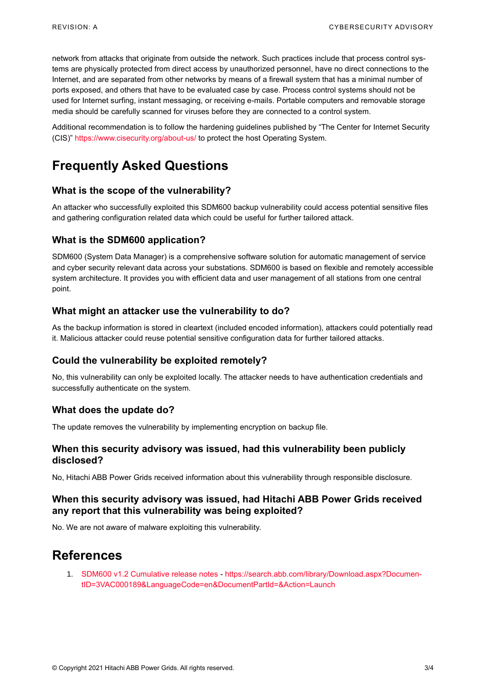network from attacks that originate from outside the network. Such practices include that process control systems are physically protected from direct access by unauthorized personnel, have no direct connections to the Internet, and are separated from other networks by means of a firewall system that has a minimal number of ports exposed, and others that have to be evaluated case by case. Process control systems should not be used for Internet surfing, instant messaging, or receiving e-mails. Portable computers and removable storage media should be carefully scanned for viruses before they are connected to a control system.

Additional recommendation is to follow the hardening guidelines published by "The Center for Internet Security (CIS)"<https://www.cisecurity.org/about-us/> to protect the host Operating System.

# **Frequently Asked Questions**

#### **What is the scope of the vulnerability?**

An attacker who successfully exploited this SDM600 backup vulnerability could access potential sensitive files and gathering configuration related data which could be useful for further tailored attack.

#### **What is the SDM600 application?**

SDM600 (System Data Manager) is a comprehensive software solution for automatic management of service and cyber security relevant data across your substations. SDM600 is based on flexible and remotely accessible system architecture. It provides you with efficient data and user management of all stations from one central point.

#### **What might an attacker use the vulnerability to do?**

As the backup information is stored in cleartext (included encoded information), attackers could potentially read it. Malicious attacker could reuse potential sensitive configuration data for further tailored attacks.

#### **Could the vulnerability be exploited remotely?**

No, this vulnerability can only be exploited locally. The attacker needs to have authentication credentials and successfully authenticate on the system.

#### **What does the update do?**

The update removes the vulnerability by implementing encryption on backup file.

#### **When this security advisory was issued, had this vulnerability been publicly disclosed?**

No, Hitachi ABB Power Grids received information about this vulnerability through responsible disclosure.

#### **When this security advisory was issued, had Hitachi ABB Power Grids received any report that this vulnerability was being exploited?**

No. We are not aware of malware exploiting this vulnerability.

### **References**

1. [SDM600 v1.2 Cumulative release notes](https://search.abb.com/library/Download.aspx?DocumentID=3VAC000189&LanguageCode=en&DocumentPartId=&Action=Launch) - [https://search.abb.com/library/Download.aspx?Documen](https://search.abb.com/library/Download.aspx?DocumentID=3VAC000189&LanguageCode=en&DocumentPartId=&Action=Launch)[tID=3VAC000189&LanguageCode=en&DocumentPartId=&Action=Launch](https://search.abb.com/library/Download.aspx?DocumentID=3VAC000189&LanguageCode=en&DocumentPartId=&Action=Launch)